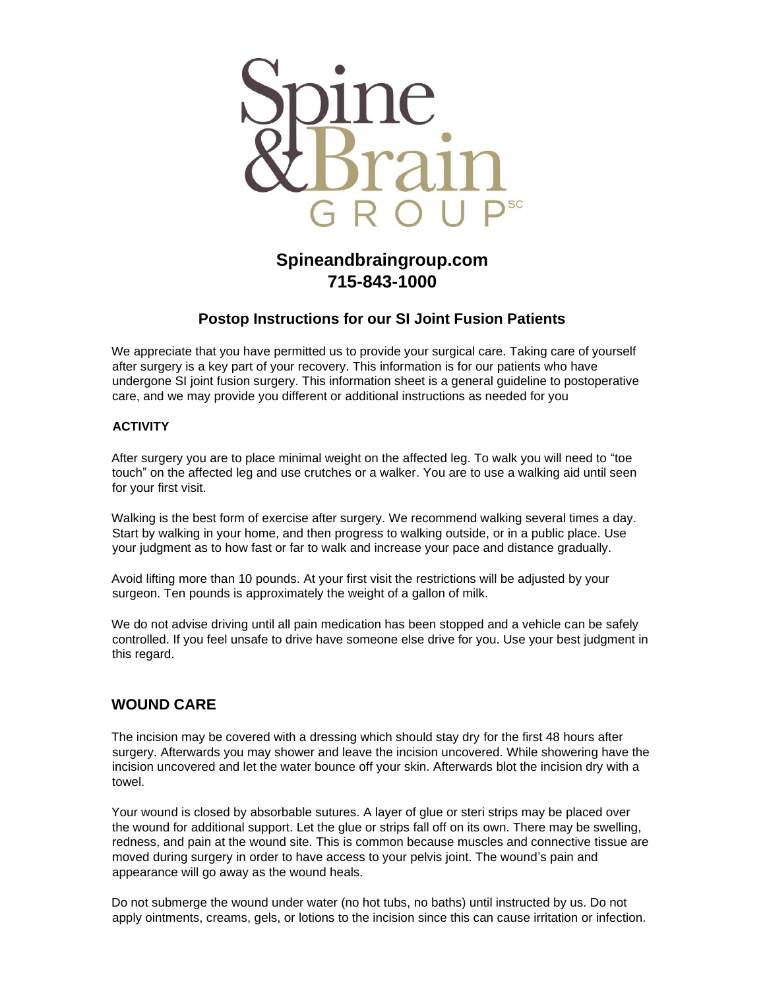

# **Spineandbraingroup.com 715-843-1000**

### **Postop Instructions for our SI Joint Fusion Patients**

We appreciate that you have permitted us to provide your surgical care. Taking care of yourself after surgery is a key part of your recovery. This information is for our patients who have undergone SI joint fusion surgery. This information sheet is a general guideline to postoperative care, and we may provide you different or additional instructions as needed for you

#### **ACTIVITY**

After surgery you are to place minimal weight on the affected leg. To walk you will need to "toe touch" on the affected leg and use crutches or a walker. You are to use a walking aid until seen for your first visit.

Walking is the best form of exercise after surgery. We recommend walking several times a day. Start by walking in your home, and then progress to walking outside, or in a public place. Use your judgment as to how fast or far to walk and increase your pace and distance gradually.

Avoid lifting more than 10 pounds. At your first visit the restrictions will be adjusted by your surgeon. Ten pounds is approximately the weight of a gallon of milk.

We do not advise driving until all pain medication has been stopped and a vehicle can be safely controlled. If you feel unsafe to drive have someone else drive for you. Use your best judgment in this regard.

### **WOUND CARE**

The incision may be covered with a dressing which should stay dry for the first 48 hours after surgery. Afterwards you may shower and leave the incision uncovered. While showering have the incision uncovered and let the water bounce off your skin. Afterwards blot the incision dry with a towel.

Your wound is closed by absorbable sutures. A layer of glue or steri strips may be placed over the wound for additional support. Let the glue or strips fall off on its own. There may be swelling, redness, and pain at the wound site. This is common because muscles and connective tissue are moved during surgery in order to have access to your pelvis joint. The wound's pain and appearance will go away as the wound heals.

Do not submerge the wound under water (no hot tubs, no baths) until instructed by us. Do not apply ointments, creams, gels, or lotions to the incision since this can cause irritation or infection.